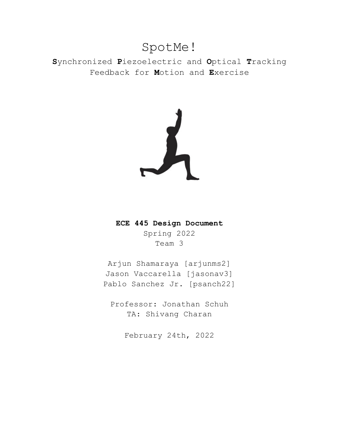# SpotMe!

**S**ynchronized **P**iezoelectric and **O**ptical **T**racking Feedback for **M**otion and **E**xercise



## **ECE 445 Design Document**

Spring 2022 Team 3

Arjun Shamaraya [arjunms2] Jason Vaccarella [jasonav3] Pablo Sanchez Jr. [psanch22]

Professor: Jonathan Schuh TA: Shivang Charan

February 24th, 2022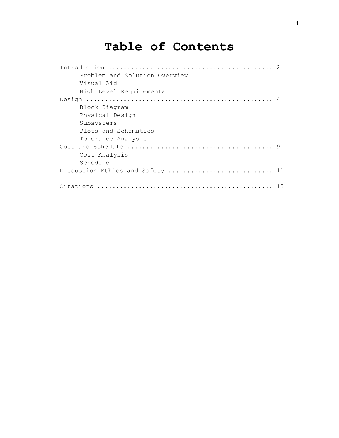# **Table of Contents**

| Problem and Solution Overview    |  |
|----------------------------------|--|
| Visual Aid                       |  |
| High Level Requirements          |  |
|                                  |  |
| Block Diagram                    |  |
| Physical Design                  |  |
| Subsystems                       |  |
| Plots and Schematics             |  |
| Tolerance Analysis               |  |
|                                  |  |
| Cost Analysis                    |  |
| Schedule                         |  |
| Discussion Ethics and Safety  11 |  |
|                                  |  |
| 13                               |  |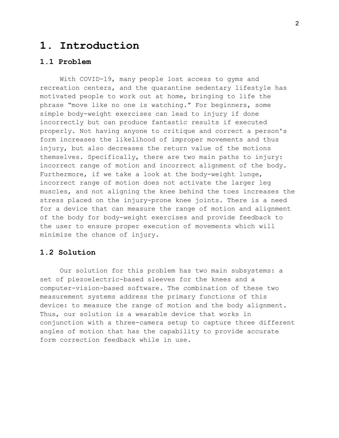## **1. Introduction**

#### **1.1 Problem**

With COVID-19, many people lost access to gyms and recreation centers, and the quarantine sedentary lifestyle has motivated people to work out at home, bringing to life the phrase "move like no one is watching." For beginners, some simple body-weight exercises can lead to injury if done incorrectly but can produce fantastic results if executed properly. Not having anyone to critique and correct a person's form increases the likelihood of improper movements and thus injury, but also decreases the return value of the motions themselves. Specifically, there are two main paths to injury: incorrect range of motion and incorrect alignment of the body. Furthermore, if we take a look at the body-weight lunge, incorrect range of motion does not activate the larger leg muscles, and not aligning the knee behind the toes increases the stress placed on the injury-prone knee joints. There is a need for a device that can measure the range of motion and alignment of the body for body-weight exercises and provide feedback to the user to ensure proper execution of movements which will minimize the chance of injury.

#### **1.2 Solution**

Our solution for this problem has two main subsystems: a set of piezoelectric-based sleeves for the knees and a computer-vision-based software. The combination of these two measurement systems address the primary functions of this device: to measure the range of motion and the body alignment. Thus, our solution is a wearable device that works in conjunction with a three-camera setup to capture three different angles of motion that has the capability to provide accurate form correction feedback while in use.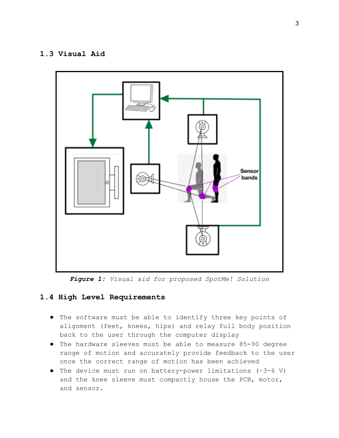#### **1.3 Visual Aid**



*Figure 1: Visual aid for proposed SpotMe! Solution*

### **1.4 High Level Requirements**

- The software must be able to identify three key points of alignment (feet, knees, hips) and relay full body position back to the user through the computer display
- The hardware sleeves must be able to measure 85-90 degree range of motion and accurately provide feedback to the user once the correct range of motion has been achieved
- The device must run on battery-power limitations (~3-6 V) and the knee sleeve must compactly house the PCB, motor, and sensor.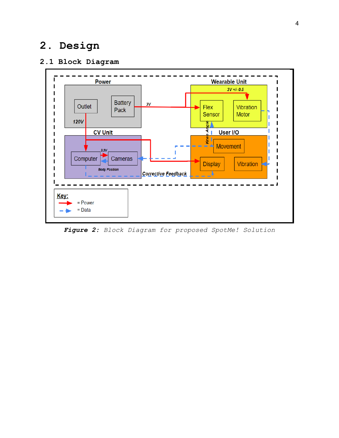# **2. Design**

## **2.1 Block Diagram**



*Figure 2: Block Diagram for proposed SpotMe! Solution*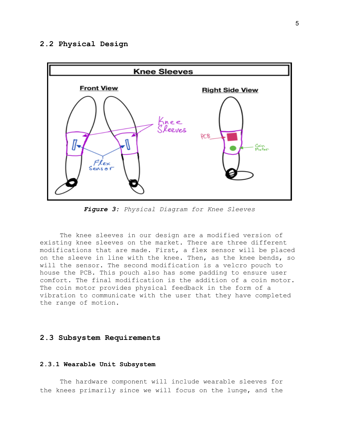#### **2.2 Physical Design**



*Figure 3: Physical Diagram for Knee Sleeves*

The knee sleeves in our design are a modified version of existing knee sleeves on the market. There are three different modifications that are made. First, a flex sensor will be placed on the sleeve in line with the knee. Then, as the knee bends, so will the sensor. The second modification is a velcro pouch to house the PCB. This pouch also has some padding to ensure user comfort. The final modification is the addition of a coin motor. The coin motor provides physical feedback in the form of a vibration to communicate with the user that they have completed the range of motion.

#### **2.3 Subsystem Requirements**

#### **2.3.1 Wearable Unit Subsystem**

The hardware component will include wearable sleeves for the knees primarily since we will focus on the lunge, and the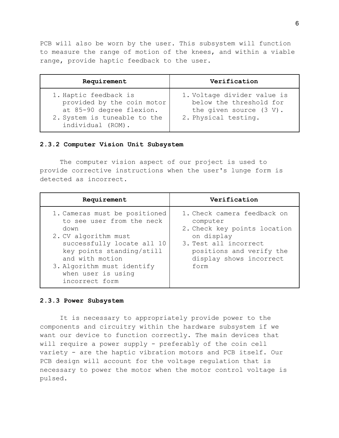PCB will also be worn by the user. This subsystem will function to measure the range of motion of the knees, and within a viable range, provide haptic feedback to the user.

| Requirement                                                                                                                          | Verification                                                                                                 |
|--------------------------------------------------------------------------------------------------------------------------------------|--------------------------------------------------------------------------------------------------------------|
| 1. Haptic feedback is<br>provided by the coin motor<br>at 85-90 degree flexion.<br>2. System is tuneable to the<br>individual (ROM). | 1. Voltage divider value is<br>below the threshold for<br>the given source $(3 V)$ .<br>2. Physical testing. |

#### **2.3.2 Computer Vision Unit Subsystem**

The computer vision aspect of our project is used to provide corrective instructions when the user's lunge form is detected as incorrect.

| Requirement                                                                                                                                                                                                                                    | Verification                                                                                                                                                                  |
|------------------------------------------------------------------------------------------------------------------------------------------------------------------------------------------------------------------------------------------------|-------------------------------------------------------------------------------------------------------------------------------------------------------------------------------|
| 1. Cameras must be positioned<br>to see user from the neck<br>down<br>2. CV algorithm must<br>successfully locate all 10<br>key points standing/still<br>and with motion<br>3. Algorithm must identify<br>when user is using<br>incorrect form | 1. Check camera feedback on<br>computer<br>2. Check key points location<br>on display<br>3. Test all incorrect<br>positions and verify the<br>display shows incorrect<br>form |

#### **2.3.3 Power Subsystem**

It is necessary to appropriately provide power to the components and circuitry within the hardware subsystem if we want our device to function correctly. The main devices that will require a power supply - preferably of the coin cell variety - are the haptic vibration motors and PCB itself. Our PCB design will account for the voltage regulation that is necessary to power the motor when the motor control voltage is pulsed.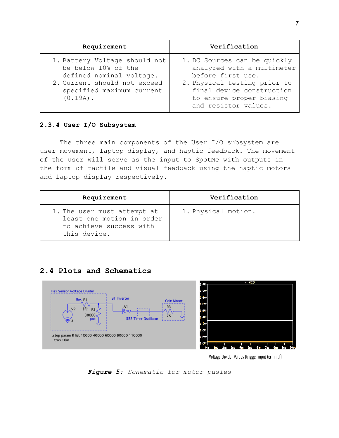| Requirement                                                                                                                                                  | Verification                                                                                                                                                                                     |
|--------------------------------------------------------------------------------------------------------------------------------------------------------------|--------------------------------------------------------------------------------------------------------------------------------------------------------------------------------------------------|
| 1. Battery Voltage should not<br>be below 10% of the<br>defined nominal voltage.<br>2. Current should not exceed<br>specified maximum current<br>$(0.19A)$ . | 1. DC Sources can be quickly<br>analyzed with a multimeter<br>before first use.<br>2. Physical testing prior to<br>final device construction<br>to ensure proper biasing<br>and resistor values. |

#### **2.3.4 User I/O Subsystem**

The three main components of the User I/O subsystem are user movement, laptop display, and haptic feedback. The movement of the user will serve as the input to SpotMe with outputs in the form of tactile and visual feedback using the haptic motors and laptop display respectively.

| Requirement                                                                                         | Verification        |
|-----------------------------------------------------------------------------------------------------|---------------------|
| 1. The user must attempt at<br>least one motion in order<br>to achieve success with<br>this device. | 1. Physical motion. |

### **2.4 Plots and Schematics**



Voltage Divider Values (trigger input terminal)

*Figure 5: Schematic for motor pusles*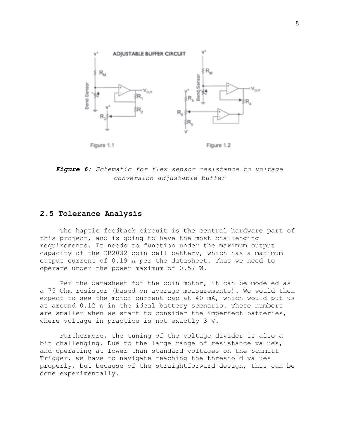

*Figure 6: Schematic for flex sensor resistance to voltage conversion adjustable buffer*

#### **2.5 Tolerance Analysis**

The haptic feedback circuit is the central hardware part of this project, and is going to have the most challenging requirements. It needs to function under the maximum output capacity of the CR2032 coin cell battery, which has a maximum output current of 0.19 A per the datasheet. Thus we need to operate under the power maximum of 0.57 W.

Per the datasheet for the coin motor, it can be modeled as a 75 Ohm resistor (based on average measurements). We would then expect to see the motor current cap at 40 mA, which would put us at around 0.12 W in the ideal battery scenario. These numbers are smaller when we start to consider the imperfect batteries, where voltage in practice is not exactly 3 V.

Furthermore, the tuning of the voltage divider is also a bit challenging. Due to the large range of resistance values, and operating at lower than standard voltages on the Schmitt Trigger, we have to navigate reaching the threshold values properly, but because of the straightforward design, this can be done experimentally.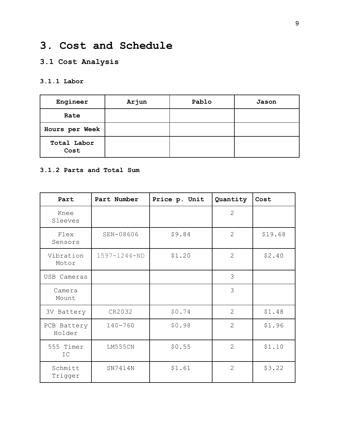# **3. Cost and Schedule**

## **3.1 Cost Analysis**

### **3.1.1 Labor**

| Engineer            | Arjun | Pablo | Jason |
|---------------------|-------|-------|-------|
| Rate                |       |       |       |
| Hours per Week      |       |       |       |
| Total Labor<br>Cost |       |       |       |

#### **3.1.2 Parts and Total Sum**

| Part                       | Part Number  | Price p. Unit | Quantity       | Cost    |
|----------------------------|--------------|---------------|----------------|---------|
| Knee<br>Sleeves            |              |               | $\overline{2}$ |         |
| Flex<br>Sensors            | SEN-08606    | \$9.84        | $\overline{2}$ | \$19.68 |
| Vibration<br>Motor         | 1597-1244-ND | \$1.20        | $\overline{2}$ | \$2.40  |
| USB Cameras                |              |               | 3              |         |
| Camera<br>Mount            |              |               | 3              |         |
| 3V Battery                 | CR2032       | \$0.74        | $\overline{2}$ | \$1.48  |
| PCB Battery<br>Holder      | $140 - 760$  | \$0.98        | $\overline{2}$ | \$1.96  |
| 555 Timer<br>$\mathbb{IC}$ | LM555CN      | \$0.55        | $\overline{2}$ | \$1.10  |
| Schmitt<br>Trigger         | SN7414N      | \$1.61        | $\overline{2}$ | \$3.22  |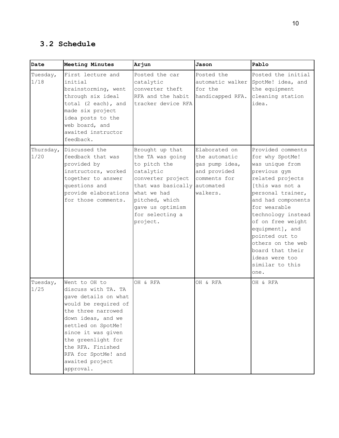## **3.2 Schedule**

| Date              | Meeting Minutes                                                                                                                                                                                                                                                                | Arjun                                                                                                                                                                                           | Jason                                                                                                     | Pablo                                                                                                                                                                                                                                                                                                                                           |
|-------------------|--------------------------------------------------------------------------------------------------------------------------------------------------------------------------------------------------------------------------------------------------------------------------------|-------------------------------------------------------------------------------------------------------------------------------------------------------------------------------------------------|-----------------------------------------------------------------------------------------------------------|-------------------------------------------------------------------------------------------------------------------------------------------------------------------------------------------------------------------------------------------------------------------------------------------------------------------------------------------------|
| Tuesday,<br>1/18  | First lecture and<br>initial<br>brainstorming, went<br>through six ideal<br>total (2 each), and<br>made six project<br>idea posts to the<br>web board, and<br>awaited instructor<br>feedback.                                                                                  | Posted the car<br>catalytic<br>converter theft<br>RFA and the habit<br>tracker device RFA                                                                                                       | Posted the<br>for the<br>handicapped RFA.                                                                 | Posted the initial<br>automatic walker SpotMe! idea, and<br>the equipment<br>cleaning station<br>idea.                                                                                                                                                                                                                                          |
| Thursday,<br>1/20 | Discussed the<br>feedback that was<br>provided by<br>instructors, worked<br>together to answer<br>questions and<br>provide elaborations<br>for those comments.                                                                                                                 | Brought up that<br>the TA was going<br>to pitch the<br>catalytic<br>converter project<br>that was basically<br>what we had<br>pitched, which<br>gave us optimism<br>for selecting a<br>project. | Elaborated on<br>the automatic<br>gas pump idea,<br>and provided<br>comments for<br>automated<br>walkers. | Provided comments<br>for why SpotMe!<br>was unique from<br>previous gym<br>related projects<br>[this was not a<br>personal trainer,<br>and had components<br>for wearable<br>technology instead<br>of on free weight<br>equipment], and<br>pointed out to<br>others on the web<br>board that their<br>ideas were too<br>similar to this<br>one. |
| Tuesday,<br>1/25  | Went to OH to<br>discuss with TA. TA<br>gave details on what<br>would be required of<br>the three narrowed<br>down ideas, and we<br>settled on SpotMe!<br>since it was given<br>the greenlight for<br>the RFA. Finished<br>RFA for SpotMe! and<br>awaited project<br>approval. | OH & RFA                                                                                                                                                                                        | OH & RFA                                                                                                  | OH & RFA                                                                                                                                                                                                                                                                                                                                        |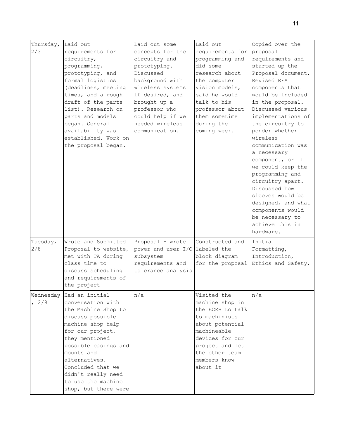| Thursday,          | Laid out                                                                                                                                                                                                                                                                                  | Laid out some                                                                                                                                                                                                      | Laid out                                                                                                                                                                                              | Copied over the                                                                                                                                                                                                                                                                                                                                                                                                                                                                                    |
|--------------------|-------------------------------------------------------------------------------------------------------------------------------------------------------------------------------------------------------------------------------------------------------------------------------------------|--------------------------------------------------------------------------------------------------------------------------------------------------------------------------------------------------------------------|-------------------------------------------------------------------------------------------------------------------------------------------------------------------------------------------------------|----------------------------------------------------------------------------------------------------------------------------------------------------------------------------------------------------------------------------------------------------------------------------------------------------------------------------------------------------------------------------------------------------------------------------------------------------------------------------------------------------|
| 2/3                | requirements for<br>circuitry,<br>programming,<br>prototyping, and<br>formal logistics<br>(deadlines, meeting<br>times, and a rough<br>draft of the parts<br>list). Research on<br>parts and models<br>began. General<br>availability was<br>established. Work on<br>the proposal began.  | concepts for the<br>circuitry and<br>prototyping.<br>Discussed<br>background with<br>wireless systems<br>if desired, and<br>brought up a<br>professor who<br>could help if we<br>needed wireless<br>communication. | requirements for<br>programming and<br>did some<br>research about<br>the computer<br>vision models,<br>said he would<br>talk to his<br>professor about<br>them sometime<br>during the<br>coming week. | proposal<br>requirements and<br>started up the<br>Proposal document.<br>Revised RFA<br>components that<br>would be included<br>in the proposal.<br>Discussed various<br>implementations of<br>the circuitry to<br>ponder whether<br>wireless<br>communication was<br>a necessary<br>component, or if<br>we could keep the<br>programming and<br>circuitry apart.<br>Discussed how<br>sleeves would be<br>designed, and what<br>components would<br>be necessary to<br>achieve this in<br>hardware. |
| Tuesday,<br>2/8    | Wrote and Submitted<br>Proposal to website,<br>met with TA during<br>class time to<br>discuss scheduling<br>and requirements of<br>the project                                                                                                                                            | Proposal - wrote<br>power and user I/O labeled the<br>subsystem<br>requirements and<br>tolerance analysis                                                                                                          | Constructed and<br>block diagram<br>for the proposal                                                                                                                                                  | Initial<br>Formatting,<br>Introduction,<br>Ethics and Safety,                                                                                                                                                                                                                                                                                                                                                                                                                                      |
| Wednesday<br>, 2/9 | Had an initial<br>conversation with<br>the Machine Shop to<br>discuss possible<br>machine shop help<br>for our project,<br>they mentioned<br>possible casings and<br>mounts and<br>alternatives.<br>Concluded that we<br>didn't really need<br>to use the machine<br>shop, but there were | n/a                                                                                                                                                                                                                | Visited the<br>machine shop in<br>the ECEB to talk<br>to machinists<br>about potential<br>machineable<br>devices for our<br>project and let<br>the other team<br>members know<br>about it             | n/a                                                                                                                                                                                                                                                                                                                                                                                                                                                                                                |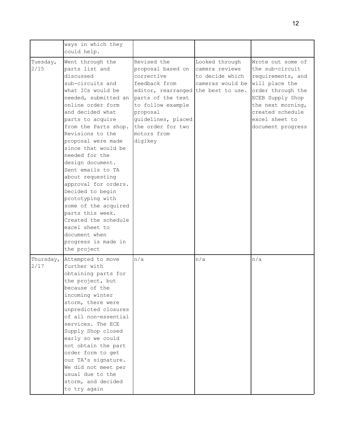|                   | ways in which they<br>could help.                                                                                                                                                                                                                                                                                                                                                                                                                                                                                                                                  |                                                                                                                                                                                                                                   |                                                                         |                                                                                                                                                                                                      |
|-------------------|--------------------------------------------------------------------------------------------------------------------------------------------------------------------------------------------------------------------------------------------------------------------------------------------------------------------------------------------------------------------------------------------------------------------------------------------------------------------------------------------------------------------------------------------------------------------|-----------------------------------------------------------------------------------------------------------------------------------------------------------------------------------------------------------------------------------|-------------------------------------------------------------------------|------------------------------------------------------------------------------------------------------------------------------------------------------------------------------------------------------|
| Tuesday,<br>2/15  | Went through the<br>parts list and<br>discussed<br>sub-circuits and<br>what ICs would be<br>needed, submitted an<br>online order form<br>and decided what<br>parts to acquire<br>from the Parts shop.<br>Revisions to the<br>proposal were made<br>since that would be<br>needed for the<br>design document.<br>Sent emails to TA<br>about requesting<br>approval for orders.<br>Decided to begin<br>prototyping with<br>some of the acquired<br>parts this week.<br>Created the schedule<br>excel sheet to<br>document when<br>progress is made in<br>the project | Revised the<br>proposal based on<br>corrective<br>feedback from<br>editor, rearranged the best to use.<br>parts of the text<br>to follow example<br>proposal<br>guidelines, placed<br>the order for two<br>motors from<br>digikey | Looked through<br>camera reviews<br>to decide which<br>cameras would be | Wrote out some of<br>the sub-circuit<br>requirements, and<br>will place the<br>order through the<br>ECEB Supply Shop<br>the next morning,<br>created schedule<br>excel sheet to<br>document progress |
| Thursday,<br>2/17 | Attempted to move<br>further with<br>obtaining parts for<br>the project, but<br>because of the<br>incoming winter<br>storm, there were<br>unpredicted closures<br>of all non-essential<br>services. The ECE<br>Supply Shop closed<br>early so we could<br>not obtain the part<br>order form to get<br>our TA's signature.<br>We did not meet per<br>usual due to the<br>storm, and decided<br>to try again                                                                                                                                                         | n/a                                                                                                                                                                                                                               | n/a                                                                     | n/a                                                                                                                                                                                                  |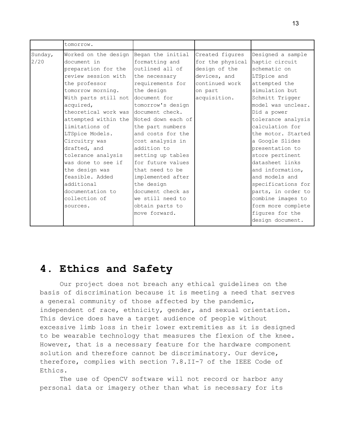|                 | tomorrow.                                                                                                                                                                                                                                                                                                                   |                                                                                                                                                                                                                                                                    |                                                                                                                   |                                                                                                                                                                                                                                                                                       |
|-----------------|-----------------------------------------------------------------------------------------------------------------------------------------------------------------------------------------------------------------------------------------------------------------------------------------------------------------------------|--------------------------------------------------------------------------------------------------------------------------------------------------------------------------------------------------------------------------------------------------------------------|-------------------------------------------------------------------------------------------------------------------|---------------------------------------------------------------------------------------------------------------------------------------------------------------------------------------------------------------------------------------------------------------------------------------|
| Sunday,<br>2/20 | Worked on the design<br>document in<br>preparation for the<br>review session with<br>the professor<br>tomorrow morning.<br>With parts still not<br>acquired,<br>theoretical work was<br>attempted within the Noted down each of<br>limitations of<br>LTSpice Models.<br>Circuitry was<br>drafted, and<br>tolerance analysis | Began the initial<br>formatting and<br>outlined all of<br>the necessary<br>requirements for<br>the design<br>document for<br>tomorrow's design<br>document check.<br>the part numbers<br>and costs for the<br>cost analysis in<br>addition to<br>setting up tables | Created figures<br>for the physical<br>design of the<br>devices, and<br>continued work<br>on part<br>acquisition. | Designed a sample<br>haptic circuit<br>schematic on<br>LTSpice and<br>attempted the<br>simulation but<br>Schmitt Trigger<br>model was unclear.<br>Did a power<br>tolerance analysis<br>calculation for<br>the motor. Started<br>a Google Slides<br>presentation to<br>store pertinent |
|                 | was done to see if<br>the design was<br>feasible. Added<br>additional<br>documentation to<br>collection of<br>sources.                                                                                                                                                                                                      | for future values<br>that need to be<br>implemented after<br>the design<br>document check as<br>we still need to<br>obtain parts to<br>move forward.                                                                                                               |                                                                                                                   | datasheet links<br>and information,<br>and models and<br>specifications for<br>parts, in order to<br>combine images to<br>form more complete<br>figures for the<br>design document.                                                                                                   |

## **4. Ethics and Safety**

Our project does not breach any ethical guidelines on the basis of discrimination because it is meeting a need that serves a general community of those affected by the pandemic, independent of race, ethnicity, gender, and sexual orientation. This device does have a target audience of people without excessive limb loss in their lower extremities as it is designed to be wearable technology that measures the flexion of the knee. However, that is a necessary feature for the hardware component solution and therefore cannot be discriminatory. Our device, therefore, complies with section 7.8.II-7 of the IEEE Code of Ethics.

The use of OpenCV software will not record or harbor any personal data or imagery other than what is necessary for its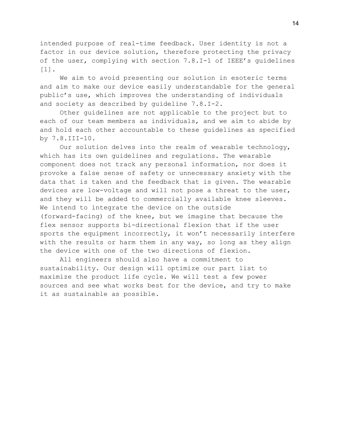intended purpose of real-time feedback. User identity is not a factor in our device solution, therefore protecting the privacy of the user, complying with section 7.8.I-1 of IEEE's guidelines [1].

We aim to avoid presenting our solution in esoteric terms and aim to make our device easily understandable for the general public's use, which improves the understanding of individuals and society as described by guideline 7.8.I-2.

Other guidelines are not applicable to the project but to each of our team members as individuals, and we aim to abide by and hold each other accountable to these guidelines as specified by 7.8.III-10.

Our solution delves into the realm of wearable technology, which has its own guidelines and regulations. The wearable component does not track any personal information, nor does it provoke a false sense of safety or unnecessary anxiety with the data that is taken and the feedback that is given. The wearable devices are low-voltage and will not pose a threat to the user, and they will be added to commercially available knee sleeves. We intend to integrate the device on the outside (forward-facing) of the knee, but we imagine that because the flex sensor supports bi-directional flexion that if the user sports the equipment incorrectly, it won't necessarily interfere with the results or harm them in any way, so long as they align the device with one of the two directions of flexion.

All engineers should also have a commitment to sustainability. Our design will optimize our part list to maximize the product life cycle. We will test a few power sources and see what works best for the device, and try to make it as sustainable as possible.